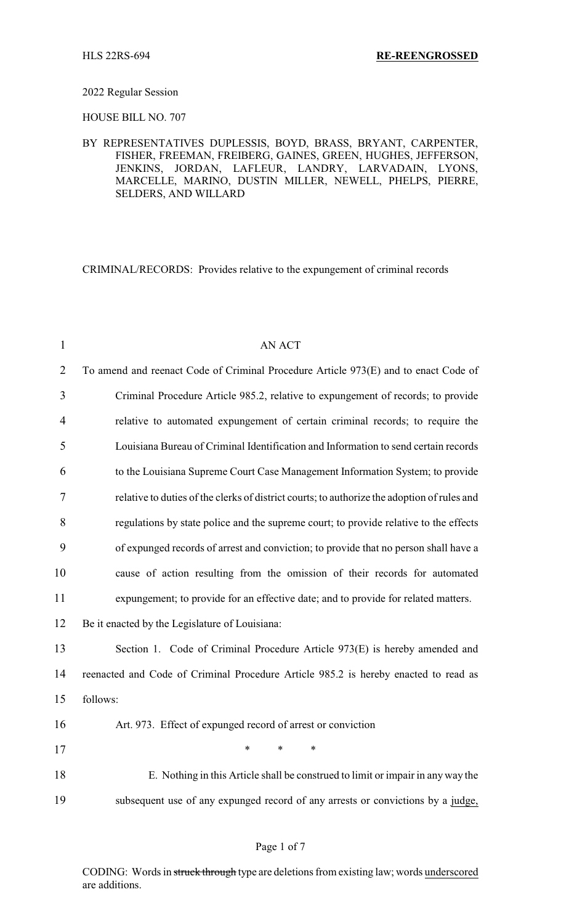#### 2022 Regular Session

HOUSE BILL NO. 707

# BY REPRESENTATIVES DUPLESSIS, BOYD, BRASS, BRYANT, CARPENTER, FISHER, FREEMAN, FREIBERG, GAINES, GREEN, HUGHES, JEFFERSON, JENKINS, JORDAN, LAFLEUR, LANDRY, LARVADAIN, LYONS, MARCELLE, MARINO, DUSTIN MILLER, NEWELL, PHELPS, PIERRE, SELDERS, AND WILLARD

CRIMINAL/RECORDS: Provides relative to the expungement of criminal records

| $\mathbf{1}$   | <b>AN ACT</b>                                                                               |
|----------------|---------------------------------------------------------------------------------------------|
| $\overline{2}$ | To amend and reenact Code of Criminal Procedure Article 973(E) and to enact Code of         |
| $\overline{3}$ | Criminal Procedure Article 985.2, relative to expungement of records; to provide            |
| $\overline{4}$ | relative to automated expungement of certain criminal records; to require the               |
| 5              | Louisiana Bureau of Criminal Identification and Information to send certain records         |
| 6              | to the Louisiana Supreme Court Case Management Information System; to provide               |
| 7              | relative to duties of the clerks of district courts; to authorize the adoption of rules and |
| 8              | regulations by state police and the supreme court; to provide relative to the effects       |
| 9              | of expunged records of arrest and conviction; to provide that no person shall have a        |
| 10             | cause of action resulting from the omission of their records for automated                  |
| 11             | expungement; to provide for an effective date; and to provide for related matters.          |
| 12             | Be it enacted by the Legislature of Louisiana:                                              |
| 13             | Section 1. Code of Criminal Procedure Article 973(E) is hereby amended and                  |
| 14             | reenacted and Code of Criminal Procedure Article 985.2 is hereby enacted to read as         |
| 15             | follows:                                                                                    |
| 16             | Art. 973. Effect of expunged record of arrest or conviction                                 |
| 17             | $\ast$<br>$\ast$<br>$\ast$                                                                  |
| 18             | E. Nothing in this Article shall be construed to limit or impair in any way the             |
| 19             | subsequent use of any expunged record of any arrests or convictions by a judge,             |

# Page 1 of 7

CODING: Words in struck through type are deletions from existing law; words underscored are additions.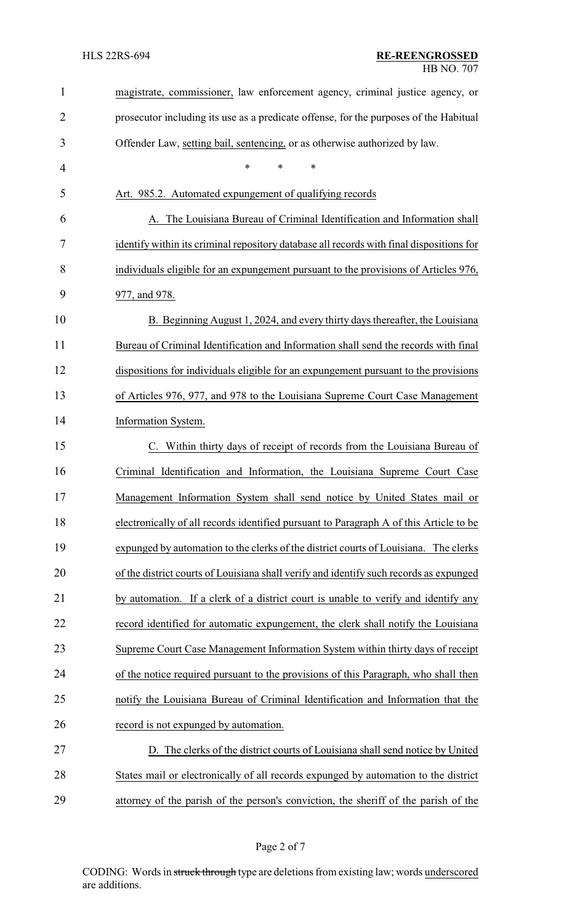| $\mathbf{1}$   | magistrate, commissioner, law enforcement agency, criminal justice agency, or            |
|----------------|------------------------------------------------------------------------------------------|
| $\overline{2}$ | prosecutor including its use as a predicate offense, for the purposes of the Habitual    |
| 3              | Offender Law, setting bail, sentencing, or as otherwise authorized by law.               |
| $\overline{4}$ | *<br>*<br>*                                                                              |
| 5              | Art. 985.2. Automated expungement of qualifying records                                  |
| 6              | A. The Louisiana Bureau of Criminal Identification and Information shall                 |
| 7              | identify within its criminal repository database all records with final dispositions for |
| 8              | individuals eligible for an expungement pursuant to the provisions of Articles 976,      |
| 9              | 977, and 978.                                                                            |
| 10             | B. Beginning August 1, 2024, and every thirty days thereafter, the Louisiana             |
| 11             | Bureau of Criminal Identification and Information shall send the records with final      |
| 12             | dispositions for individuals eligible for an expungement pursuant to the provisions      |
| 13             | of Articles 976, 977, and 978 to the Louisiana Supreme Court Case Management             |
| 14             | Information System.                                                                      |
| 15             | C. Within thirty days of receipt of records from the Louisiana Bureau of                 |
| 16             | Criminal Identification and Information, the Louisiana Supreme Court Case                |
| 17             | Management Information System shall send notice by United States mail or                 |
| 18             | electronically of all records identified pursuant to Paragraph A of this Article to be   |
| 19             | expunged by automation to the clerks of the district courts of Louisiana. The clerks     |
| 20             | of the district courts of Louisiana shall verify and identify such records as expunged   |
| 21             | by automation. If a clerk of a district court is unable to verify and identify any       |
| 22             | record identified for automatic expungement, the clerk shall notify the Louisiana        |
| 23             | Supreme Court Case Management Information System within thirty days of receipt           |
| 24             | of the notice required pursuant to the provisions of this Paragraph, who shall then      |
| 25             | notify the Louisiana Bureau of Criminal Identification and Information that the          |
| 26             | record is not expunged by automation.                                                    |
| 27             | D. The clerks of the district courts of Louisiana shall send notice by United            |
| 28             | States mail or electronically of all records expunged by automation to the district      |
| 29             | attorney of the parish of the person's conviction, the sheriff of the parish of the      |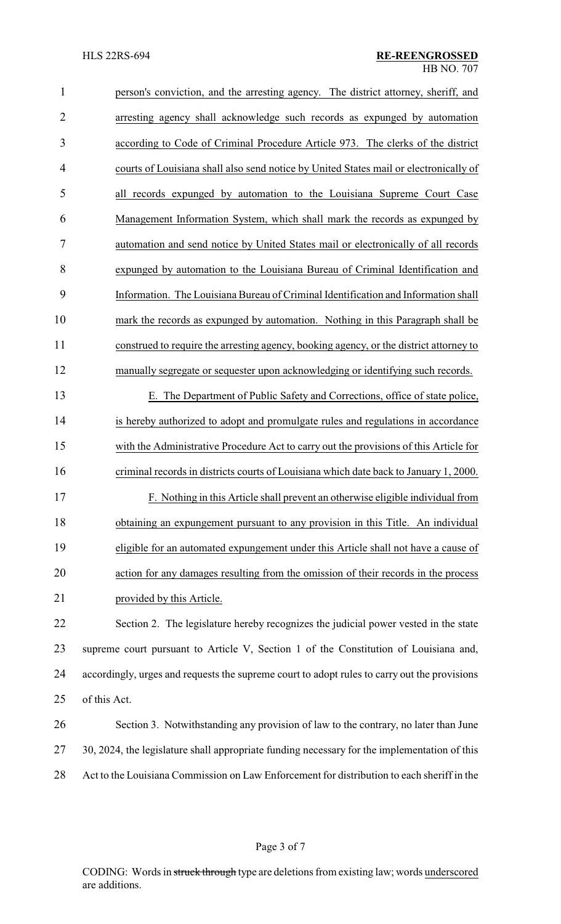| $\mathbf{1}$   | person's conviction, and the arresting agency. The district attorney, sheriff, and     |
|----------------|----------------------------------------------------------------------------------------|
| $\overline{2}$ | arresting agency shall acknowledge such records as expunged by automation              |
| 3              | according to Code of Criminal Procedure Article 973. The clerks of the district        |
| $\overline{4}$ | courts of Louisiana shall also send notice by United States mail or electronically of  |
| 5              | all records expunged by automation to the Louisiana Supreme Court Case                 |
| 6              | Management Information System, which shall mark the records as expunged by             |
| $\overline{7}$ | automation and send notice by United States mail or electronically of all records      |
| 8              | expunged by automation to the Louisiana Bureau of Criminal Identification and          |
| 9              | Information. The Louisiana Bureau of Criminal Identification and Information shall     |
| 10             | mark the records as expunged by automation. Nothing in this Paragraph shall be         |
| 11             | construed to require the arresting agency, booking agency, or the district attorney to |
| 12             | manually segregate or sequester upon acknowledging or identifying such records.        |
| 13             | E. The Department of Public Safety and Corrections, office of state police,            |
| 14             | is hereby authorized to adopt and promulgate rules and regulations in accordance       |
| 15             | with the Administrative Procedure Act to carry out the provisions of this Article for  |
| 16             | criminal records in districts courts of Louisiana which date back to January 1, 2000.  |

 F. Nothing in this Article shall prevent an otherwise eligible individual from obtaining an expungement pursuant to any provision in this Title. An individual eligible for an automated expungement under this Article shall not have a cause of action for any damages resulting from the omission of their records in the process 21 provided by this Article.

 Section 2. The legislature hereby recognizes the judicial power vested in the state supreme court pursuant to Article V, Section 1 of the Constitution of Louisiana and, accordingly, urges and requests the supreme court to adopt rules to carry out the provisions of this Act.

# Section 3. Notwithstanding any provision of law to the contrary, no later than June 30, 2024, the legislature shall appropriate funding necessary for the implementation of this Act to the Louisiana Commission on Law Enforcement for distribution to each sheriff in the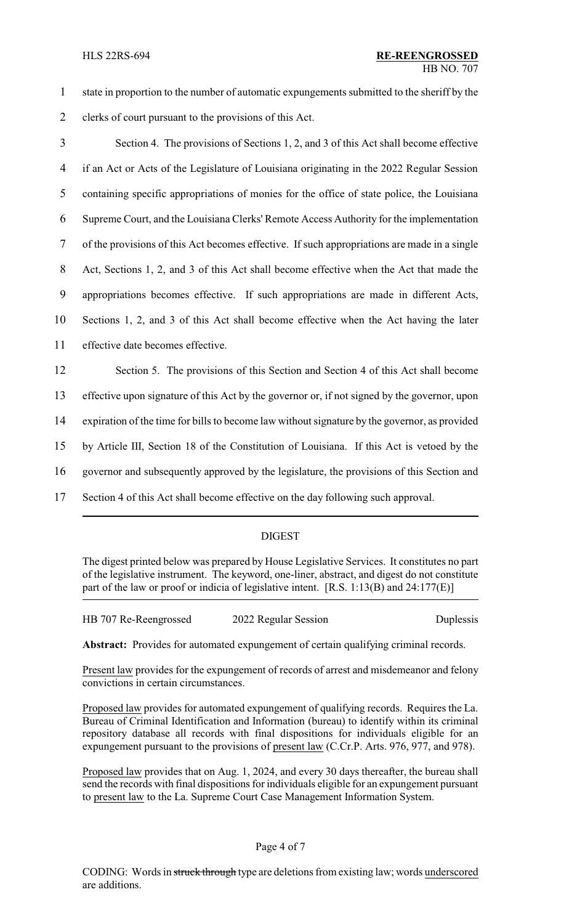- 1 state in proportion to the number of automatic expungements submitted to the sheriff by the
- 2 clerks of court pursuant to the provisions of this Act.
- 3 Section 4. The provisions of Sections 1, 2, and 3 of this Act shall become effective 4 if an Act or Acts of the Legislature of Louisiana originating in the 2022 Regular Session 5 containing specific appropriations of monies for the office of state police, the Louisiana 6 Supreme Court, and the Louisiana Clerks' Remote Access Authority for the implementation 7 of the provisions of this Act becomes effective. If such appropriations are made in a single 8 Act, Sections 1, 2, and 3 of this Act shall become effective when the Act that made the 9 appropriations becomes effective. If such appropriations are made in different Acts, 10 Sections 1, 2, and 3 of this Act shall become effective when the Act having the later 11 effective date becomes effective. 12 Section 5. The provisions of this Section and Section 4 of this Act shall become 13 effective upon signature of this Act by the governor or, if not signed by the governor, upon

14 expiration of the time for bills to become law without signature by the governor, as provided

15 by Article III, Section 18 of the Constitution of Louisiana. If this Act is vetoed by the

16 governor and subsequently approved by the legislature, the provisions of this Section and

17 Section 4 of this Act shall become effective on the day following such approval.

# DIGEST

The digest printed below was prepared by House Legislative Services. It constitutes no part of the legislative instrument. The keyword, one-liner, abstract, and digest do not constitute part of the law or proof or indicia of legislative intent. [R.S. 1:13(B) and 24:177(E)]

HB 707 Re-Reengrossed 2022 Regular Session Duplessis

**Abstract:** Provides for automated expungement of certain qualifying criminal records.

Present law provides for the expungement of records of arrest and misdemeanor and felony convictions in certain circumstances.

Proposed law provides for automated expungement of qualifying records. Requires the La. Bureau of Criminal Identification and Information (bureau) to identify within its criminal repository database all records with final dispositions for individuals eligible for an expungement pursuant to the provisions of present law (C.Cr.P. Arts. 976, 977, and 978).

Proposed law provides that on Aug. 1, 2024, and every 30 days thereafter, the bureau shall send the records with final dispositions for individuals eligible for an expungement pursuant to present law to the La. Supreme Court Case Management Information System.

#### Page 4 of 7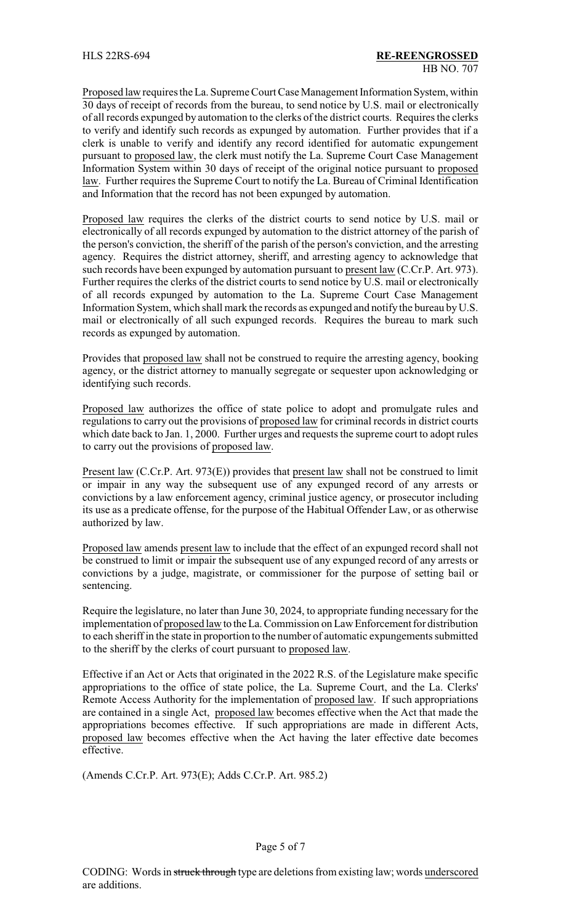Proposed law requires the La. Supreme Court Case Management Information System, within 30 days of receipt of records from the bureau, to send notice by U.S. mail or electronically of all records expunged by automation to the clerks of the district courts. Requires the clerks to verify and identify such records as expunged by automation. Further provides that if a clerk is unable to verify and identify any record identified for automatic expungement pursuant to proposed law, the clerk must notify the La. Supreme Court Case Management Information System within 30 days of receipt of the original notice pursuant to proposed law. Further requires the Supreme Court to notify the La. Bureau of Criminal Identification and Information that the record has not been expunged by automation.

Proposed law requires the clerks of the district courts to send notice by U.S. mail or electronically of all records expunged by automation to the district attorney of the parish of the person's conviction, the sheriff of the parish of the person's conviction, and the arresting agency. Requires the district attorney, sheriff, and arresting agency to acknowledge that such records have been expunged by automation pursuant to present law (C.Cr.P. Art. 973). Further requires the clerks of the district courts to send notice by U.S. mail or electronically of all records expunged by automation to the La. Supreme Court Case Management Information System, which shall mark the records as expunged and notify the bureau by U.S. mail or electronically of all such expunged records. Requires the bureau to mark such records as expunged by automation.

Provides that proposed law shall not be construed to require the arresting agency, booking agency, or the district attorney to manually segregate or sequester upon acknowledging or identifying such records.

Proposed law authorizes the office of state police to adopt and promulgate rules and regulations to carry out the provisions of proposed law for criminal records in district courts which date back to Jan. 1, 2000. Further urges and requests the supreme court to adopt rules to carry out the provisions of proposed law.

Present law (C.Cr.P. Art. 973(E)) provides that present law shall not be construed to limit or impair in any way the subsequent use of any expunged record of any arrests or convictions by a law enforcement agency, criminal justice agency, or prosecutor including its use as a predicate offense, for the purpose of the Habitual Offender Law, or as otherwise authorized by law.

Proposed law amends present law to include that the effect of an expunged record shall not be construed to limit or impair the subsequent use of any expunged record of any arrests or convictions by a judge, magistrate, or commissioner for the purpose of setting bail or sentencing.

Require the legislature, no later than June 30, 2024, to appropriate funding necessary for the implementation of proposed lawto the La. Commission on Law Enforcement for distribution to each sheriff in the state in proportion to the number of automatic expungements submitted to the sheriff by the clerks of court pursuant to proposed law.

Effective if an Act or Acts that originated in the 2022 R.S. of the Legislature make specific appropriations to the office of state police, the La. Supreme Court, and the La. Clerks' Remote Access Authority for the implementation of proposed law. If such appropriations are contained in a single Act, proposed law becomes effective when the Act that made the appropriations becomes effective. If such appropriations are made in different Acts, proposed law becomes effective when the Act having the later effective date becomes effective.

(Amends C.Cr.P. Art. 973(E); Adds C.Cr.P. Art. 985.2)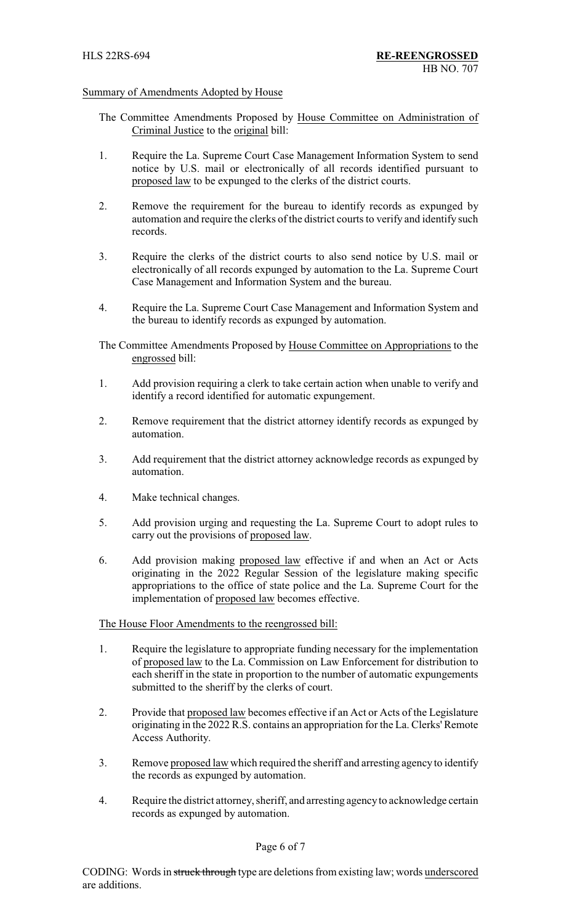# Summary of Amendments Adopted by House

- The Committee Amendments Proposed by House Committee on Administration of Criminal Justice to the original bill:
- 1. Require the La. Supreme Court Case Management Information System to send notice by U.S. mail or electronically of all records identified pursuant to proposed law to be expunged to the clerks of the district courts.
- 2. Remove the requirement for the bureau to identify records as expunged by automation and require the clerks of the district courts to verify and identify such records.
- 3. Require the clerks of the district courts to also send notice by U.S. mail or electronically of all records expunged by automation to the La. Supreme Court Case Management and Information System and the bureau.
- 4. Require the La. Supreme Court Case Management and Information System and the bureau to identify records as expunged by automation.

The Committee Amendments Proposed by House Committee on Appropriations to the engrossed bill:

- 1. Add provision requiring a clerk to take certain action when unable to verify and identify a record identified for automatic expungement.
- 2. Remove requirement that the district attorney identify records as expunged by automation.
- 3. Add requirement that the district attorney acknowledge records as expunged by automation.
- 4. Make technical changes.
- 5. Add provision urging and requesting the La. Supreme Court to adopt rules to carry out the provisions of proposed law.
- 6. Add provision making proposed law effective if and when an Act or Acts originating in the 2022 Regular Session of the legislature making specific appropriations to the office of state police and the La. Supreme Court for the implementation of proposed law becomes effective.

The House Floor Amendments to the reengrossed bill:

- 1. Require the legislature to appropriate funding necessary for the implementation of proposed law to the La. Commission on Law Enforcement for distribution to each sheriff in the state in proportion to the number of automatic expungements submitted to the sheriff by the clerks of court.
- 2. Provide that proposed law becomes effective if an Act or Acts of the Legislature originating in the 2022 R.S. contains an appropriation for the La. Clerks' Remote Access Authority.
- 3. Remove proposed law which required the sheriff and arresting agency to identify the records as expunged by automation.
- 4. Require the district attorney, sheriff, and arresting agencyto acknowledge certain records as expunged by automation.